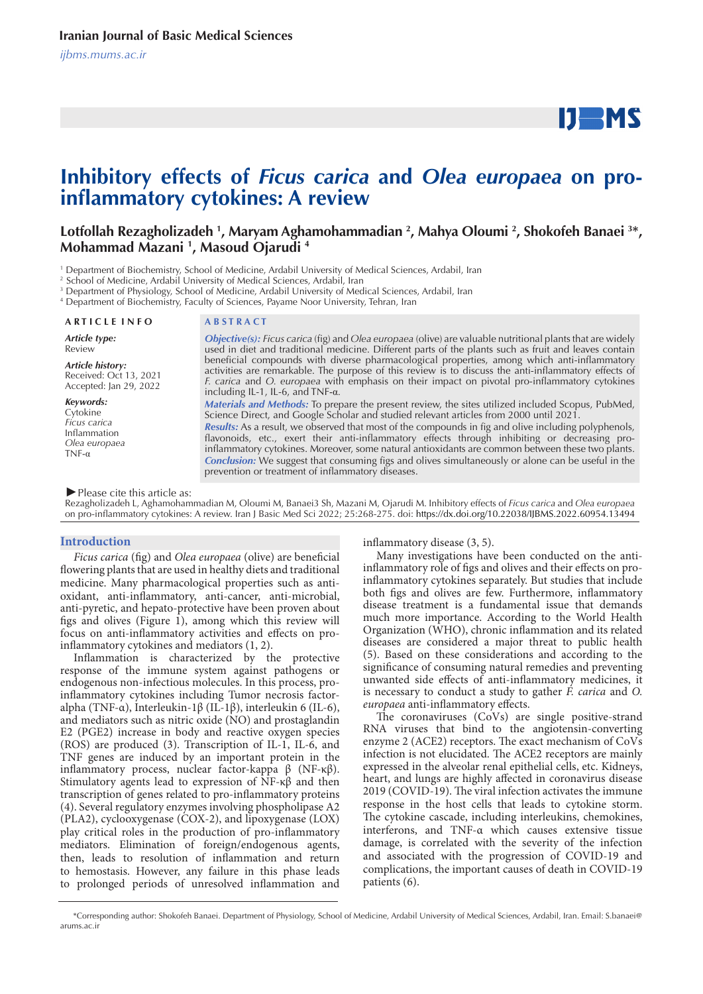# **IJEMS**

# **Inhibitory effects of** *Ficus carica* **and** *Olea europaea* **on proinflammatory cytokines: A review**

## Lotfollah Rezagholizadeh <sup>1</sup>, Maryam Aghamohammadian <sup>2</sup>, Mahya Oloumi <sup>2</sup>, Shokofeh Banaei <sup>3\*</sup>, **Mohammad Mazani 1 , Masoud Ojarudi 4**

1 Department of Biochemistry, School of Medicine, Ardabil University of Medical Sciences, Ardabil, Iran

<sup>2</sup> School of Medicine, Ardabil University of Medical Sciences, Ardabil, Iran

3 Department of Physiology, School of Medicine, Ardabil University of Medical Sciences, Ardabil, Iran

4 Department of Biochemistry, Faculty of Sciences, Payame Noor University, Tehran, Iran

**A R T I C L E I N F O A B S T R A C T**

*Article type:*

Review

*Article history:* Received: Oct 13, 2021 Accepted: Jan 29, 2022

*Keywords:*

Cytokine *Ficus carica* Inflammation *Olea europaea* TNF-α

*Objective(s): Ficus carica* (fig) and *Olea europaea* (olive) are valuable nutritional plants that are widely used in diet and traditional medicine. Different parts of the plants such as fruit and leaves contain beneficial compounds with diverse pharmacological properties, among which anti-inflammatory activities are remarkable. The purpose of this review is to discuss the anti-inflammatory effects of *F. carica* and *O. europaea* with emphasis on their impact on pivotal pro-inflammatory cytokines including IL-1, IL-6, and TNF-α.

*Materials and Methods:* To prepare the present review, the sites utilized included Scopus, PubMed, Science Direct, and Google Scholar and studied relevant articles from 2000 until 2021.

*Results:* As a result, we observed that most of the compounds in fig and olive including polyphenols, flavonoids, etc., exert their anti-inflammatory effects through inhibiting or decreasing proinflammatory cytokines. Moreover, some natural antioxidants are common between these two plants. *Conclusion:* We suggest that consuming figs and olives simultaneously or alone can be useful in the prevention or treatment of inflammatory diseases.

*►*Please cite this article as:

Rezagholizadeh L, Aghamohammadian M, Oloumi M, Banaei3 Sh, Mazani M, Ojarudi M. Inhibitory effects of *Ficus carica* and *Olea europaea* on pro-inflammatory cytokines: A review. Iran J Basic Med Sci 2022; 25:268-275. doi: https://dx.doi.org/10.22038/IJBMS.2022.60954.13494

#### **Introduction**

*Ficus carica* (fig) and *Olea europaea* (olive) are beneficial flowering plants that are used in healthy diets and traditional medicine. Many pharmacological properties such as antioxidant, anti-inflammatory, anti-cancer, anti-microbial, anti-pyretic, and hepato-protective have been proven about figs and olives (Figure 1), among which this review will focus on anti-inflammatory activities and effects on proinflammatory cytokines and mediators (1, 2).

Inflammation is characterized by the protective response of the immune system against pathogens or endogenous non-infectious molecules. In this process, proinflammatory cytokines including Tumor necrosis factoralpha (TNF-α), Interleukin-1β (IL-1β), interleukin 6 (IL-6), and mediators such as nitric oxide (NO) and prostaglandin E2 (PGE2) increase in body and reactive oxygen species (ROS) are produced (3). Transcription of IL-1, IL-6, and TNF genes are induced by an important protein in the inflammatory process, nuclear factor-kappa β (NF-κβ). Stimulatory agents lead to expression of NF-κβ and then transcription of genes related to pro-inflammatory proteins (4). Several regulatory enzymes involving phospholipase A2 (PLA2), cyclooxygenase (COX-2), and lipoxygenase (LOX) play critical roles in the production of pro-inflammatory mediators. Elimination of foreign/endogenous agents, then, leads to resolution of inflammation and return to hemostasis. However, any failure in this phase leads to prolonged periods of unresolved inflammation and

inflammatory disease (3, 5).

Many investigations have been conducted on the antiinflammatory role of figs and olives and their effects on proinflammatory cytokines separately. But studies that include both figs and olives are few. Furthermore, inflammatory disease treatment is a fundamental issue that demands much more importance. According to the World Health Organization (WHO), chronic inflammation and its related diseases are considered a major threat to public health (5). Based on these considerations and according to the significance of consuming natural remedies and preventing unwanted side effects of anti-inflammatory medicines, it is necessary to conduct a study to gather *F. carica* and *O. europaea* anti-inflammatory effects.

The coronaviruses (CoVs) are single positive-strand RNA viruses that bind to the angiotensin-converting enzyme 2 (ACE2) receptors. The exact mechanism of CoVs infection is not elucidated. The ACE2 receptors are mainly expressed in the alveolar renal epithelial cells, etc. Kidneys, heart, and lungs are highly affected in coronavirus disease 2019 (COVID-19). The viral infection activates the immune response in the host cells that leads to cytokine storm. The cytokine cascade, including interleukins, chemokines, interferons, and TNF-α which causes extensive tissue damage, is correlated with the severity of the infection and associated with the progression of COVID-19 and complications, the important causes of death in COVID-19 patients (6).

 <sup>\*</sup>Corresponding author: Shokofeh Banaei. Department of Physiology, School of Medicine, Ardabil University of Medical Sciences, Ardabil, Iran. Email: S.banaei@ arums.ac.ir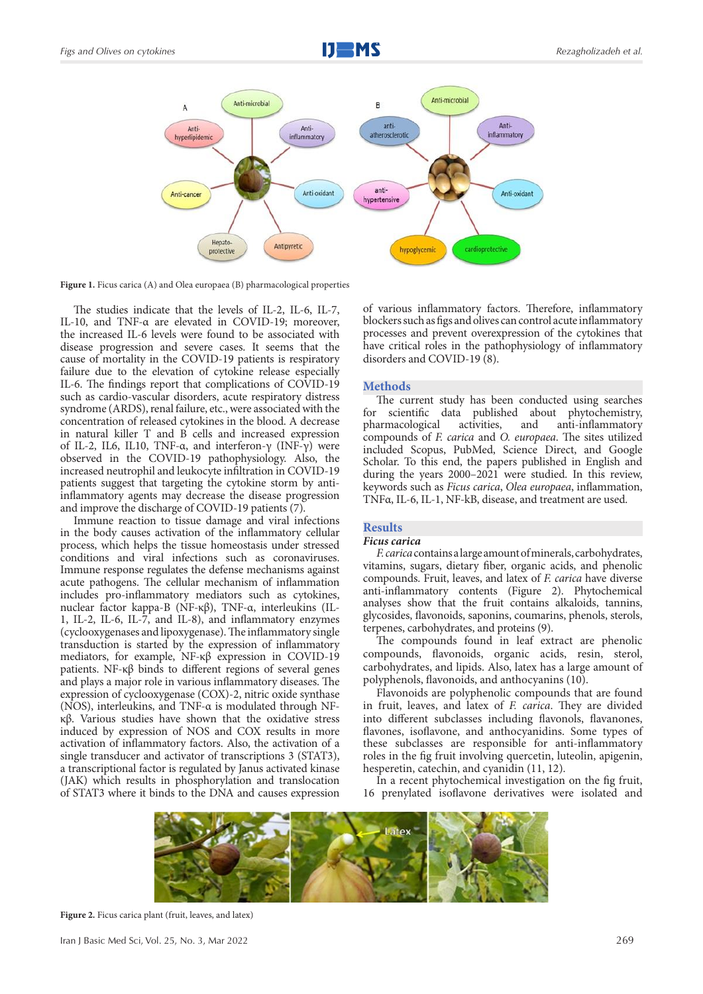

Figure 1. Ficus carica (A) and Olea europaea (B) pharmacological properties

The studies indicate that the levels of IL-2, IL-6, IL-7, IL-10, and TNF-α are elevated in COVID-19; moreover, the increased IL-6 levels were found to be associated with disease progression and severe cases. It seems that the cause of mortality in the COVID-19 patients is respiratory failure due to the elevation of cytokine release especially IL-6. The findings report that complications of COVID-19 such as cardio-vascular disorders, acute respiratory distress syndrome (ARDS), renal failure, etc., were associated with the concentration of released cytokines in the blood. A decrease in natural killer T and B cells and increased expression of IL-2, IL6, IL10, TNF-α, and interferon-γ (INF-γ) were observed in the COVID-19 pathophysiology. Also, the increased neutrophil and leukocyte infiltration in COVID-19 patients suggest that targeting the cytokine storm by antiinflammatory agents may decrease the disease progression and improve the discharge of COVID-19 patients (7).

Immune reaction to tissue damage and viral infections in the body causes activation of the inflammatory cellular process, which helps the tissue homeostasis under stressed conditions and viral infections such as coronaviruses. Immune response regulates the defense mechanisms against acute pathogens. The cellular mechanism of inflammation includes pro-inflammatory mediators such as cytokines, nuclear factor kappa-B (NF-κβ), TNF-α, interleukins (IL-1, IL-2, IL-6, IL-7, and IL-8), and inflammatory enzymes (cyclooxygenases and lipoxygenase). The inflammatory single transduction is started by the expression of inflammatory mediators, for example, NF-κβ expression in COVID-19 patients. NF-κβ binds to different regions of several genes and plays a major role in various inflammatory diseases. The expression of cyclooxygenase (COX)-2, nitric oxide synthase (NOS), interleukins, and TNF-α is modulated through NFκβ. Various studies have shown that the oxidative stress induced by expression of NOS and COX results in more activation of inflammatory factors. Also, the activation of a single transducer and activator of transcriptions 3 (STAT3), a transcriptional factor is regulated by Janus activated kinase (JAK) which results in phosphorylation and translocation of STAT3 where it binds to the DNA and causes expression

of various inflammatory factors. Therefore, inflammatory blockers such as figs and olives can control acute inflammatory processes and prevent overexpression of the cytokines that have critical roles in the pathophysiology of inflammatory disorders and COVID-19 (8).

#### **Methods**

The current study has been conducted using searches for scientific data published about phytochemistry,<br>pharmacological activities, and anti-inflammatory pharmacological compounds of *F. carica* and *O. europaea*. The sites utilized included Scopus, PubMed, Science Direct, and Google Scholar. To this end, the papers published in English and during the years 2000–2021 were studied. In this review, keywords such as *Ficus carica*, *Olea europaea*, inflammation, TNFα, IL-6, IL-1, NF-kB, disease, and treatment are used.

### **Results**

#### *Ficus carica*

*F. carica* contains a large amount of minerals, carbohydrates, vitamins, sugars, dietary fiber, organic acids, and phenolic compounds. Fruit, leaves, and latex of *F. carica* have diverse anti-inflammatory contents (Figure 2). Phytochemical analyses show that the fruit contains alkaloids, tannins, glycosides, flavonoids, saponins, coumarins, phenols, sterols, terpenes, carbohydrates, and proteins (9).

The compounds found in leaf extract are phenolic compounds, flavonoids, organic acids, resin, sterol, carbohydrates, and lipids. Also, latex has a large amount of polyphenols, flavonoids, and anthocyanins (10).

Flavonoids are polyphenolic compounds that are found in fruit, leaves, and latex of *F. carica*. They are divided into different subclasses including flavonols, flavanones, flavones, isoflavone, and anthocyanidins. Some types of these subclasses are responsible for anti-inflammatory roles in the fig fruit involving quercetin, luteolin, apigenin, hesperetin, catechin, and cyanidin (11, 12).

In a recent phytochemical investigation on the fig fruit, 16 prenylated isoflavone derivatives were isolated and



**Figure 2.** Ficus carica plant (fruit, leaves, and latex)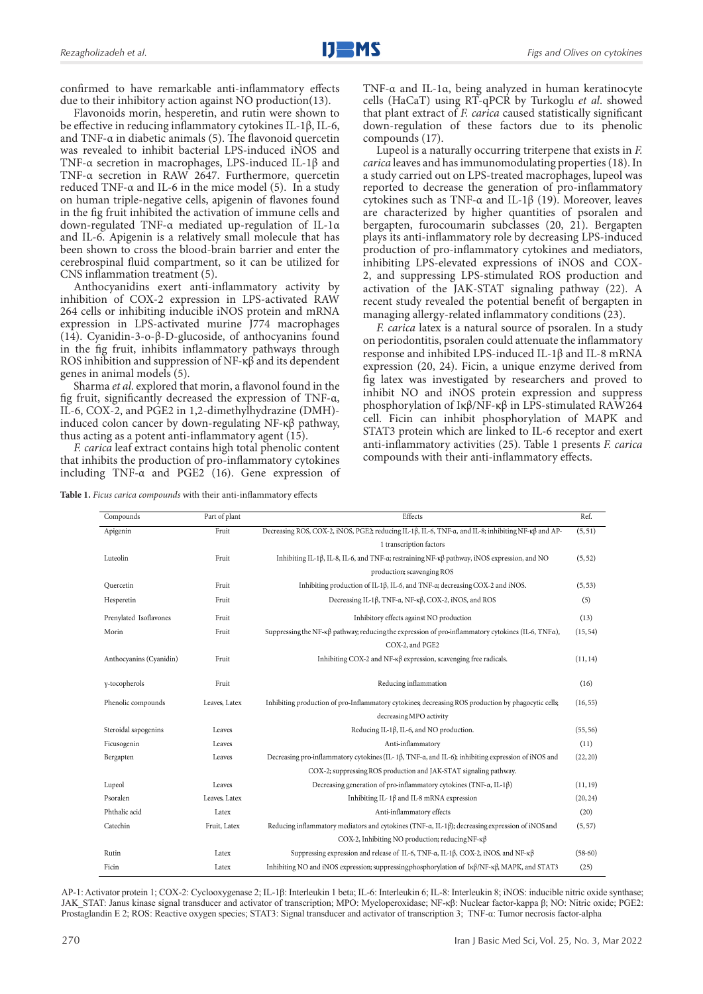confirmed to have remarkable anti-inflammatory effects due to their inhibitory action against NO production(13).

Flavonoids morin, hesperetin, and rutin were shown to be effective in reducing inflammatory cytokines IL-1β, IL-6, and TNF-α in diabetic animals (5). The flavonoid quercetin was revealed to inhibit bacterial LPS-induced iNOS and TNF-α secretion in macrophages, LPS-induced IL-1β and TNF-α secretion in RAW 2647. Furthermore, quercetin reduced TNF-α and IL-6 in the mice model (5). In a study on human triple-negative cells, apigenin of flavones found in the fig fruit inhibited the activation of immune cells and down-regulated TNF-α mediated up-regulation of IL-1α and IL-6. Apigenin is a relatively small molecule that has been shown to cross the blood-brain barrier and enter the cerebrospinal fluid compartment, so it can be utilized for CNS inflammation treatment (5).

Anthocyanidins exert anti-inflammatory activity by inhibition of COX-2 expression in LPS-activated RAW 264 cells or inhibiting inducible iNOS protein and mRNA expression in LPS-activated murine J774 macrophages (14). Cyanidin-3-o-β-D-glucoside, of anthocyanins found in the fig fruit, inhibits inflammatory pathways through ROS inhibition and suppression of NF-κβ and its dependent genes in animal models (5).

Sharma *et al*. explored that morin, a flavonol found in the fig fruit, significantly decreased the expression of TNF-α, IL-6, COX-2, and PGE2 in 1,2-dimethylhydrazine (DMH) induced colon cancer by down-regulating NF-κβ pathway, thus acting as a potent anti-inflammatory agent  $(15)$ .

*F. carica* leaf extract contains high total phenolic content that inhibits the production of pro-inflammatory cytokines including TNF-α and PGE2 (16). Gene expression of

**Table 1.** *Ficus carica compounds* with their anti-inflammatory effects

TNF-α and IL-1α, being analyzed in human keratinocyte cells (HaCaT) using RT-qPCR by Turkoglu *et al*. showed that plant extract of *F. carica* caused statistically significant down-regulation of these factors due to its phenolic compounds (17).

Lupeol is a naturally occurring triterpene that exists in *F. carica* leaves and has immunomodulating properties (18). In a study carried out on LPS-treated macrophages, lupeol was reported to decrease the generation of pro-inflammatory cytokines such as TNF-α and IL-1β (19). Moreover, leaves are characterized by higher quantities of psoralen and bergapten, furocoumarin subclasses (20, 21). Bergapten plays its anti-inflammatory role by decreasing LPS-induced production of pro-inflammatory cytokines and mediators, inhibiting LPS-elevated expressions of iNOS and COX-2, and suppressing LPS-stimulated ROS production and activation of the JAK-STAT signaling pathway (22). A recent study revealed the potential benefit of bergapten in managing allergy-related inflammatory conditions (23).

*F. carica* latex is a natural source of psoralen. In a study on periodontitis, psoralen could attenuate the inflammatory response and inhibited LPS-induced IL-1β and IL-8 mRNA expression (20, 24). Ficin, a unique enzyme derived from fig latex was investigated by researchers and proved to inhibit NO and iNOS protein expression and suppress phosphorylation of Iκβ/NF-κβ in LPS-stimulated RAW264 cell. Ficin can inhibit phosphorylation of MAPK and STAT3 protein which are linked to IL-6 receptor and exert anti-inflammatory activities (25). Table 1 presents *F. carica* compounds with their anti-inflammatory effects.

| Compounds               | Part of plant | Effects                                                                                                                  | Ref.      |
|-------------------------|---------------|--------------------------------------------------------------------------------------------------------------------------|-----------|
| Apigenin                | Fruit         | Decreasing ROS, COX-2, iNOS, PGE2; reducing IL-1 $\beta$ , IL-6, TNF-a, and IL-8; inhibiting NF- $\kappa\beta$ and AP-   | (5, 51)   |
|                         |               | 1 transcription factors                                                                                                  |           |
| Luteolin                | Fruit         | Inhibiting IL-1 $\beta$ , IL-8, IL-6, and TNF- $\alpha$ ; restraining NF- $\kappa\beta$ pathway, iNOS expression, and NO | (5, 52)   |
|                         |               | production; scavenging ROS                                                                                               |           |
| Quercetin               | Fruit         | Inhibiting production of IL-1β, IL-6, and TNF-α; decreasing COX-2 and iNOS.                                              | (5, 53)   |
| Hesperetin              | Fruit         | Decreasing IL-1β, TNF-α, NF-κβ, COX-2, iNOS, and ROS                                                                     | (5)       |
| Prenylated Isoflavones  | Fruit         | Inhibitory effects against NO production                                                                                 | (13)      |
| Morin                   | Fruit         | Suppressing the NF- $\kappa\beta$ pathway; reducing the expression of pro-inflammatory cytokines (IL-6, TNF $\alpha$ ),  | (15, 54)  |
|                         |               | COX-2, and PGE2                                                                                                          |           |
| Anthocyanins (Cyanidin) | Fruit         | Inhibiting COX-2 and NF- $\kappa\beta$ expression, scavenging free radicals.                                             | (11, 14)  |
| y-tocopherols           | Fruit         | Reducing inflammation                                                                                                    | (16)      |
|                         |               |                                                                                                                          |           |
| Phenolic compounds      | Leaves, Latex | Inhibiting production of pro-Inflammatory cytokines; decreasing ROS production by phagocytic cells;                      | (16, 55)  |
|                         |               | decreasing MPO activity                                                                                                  |           |
| Steroidal sapogenins    | Leaves        | Reducing IL-1 $\beta$ , IL-6, and NO production.                                                                         | (55, 56)  |
| Ficusogenin             | Leaves        | Anti-inflammatory                                                                                                        | (11)      |
| Bergapten               | Leaves        | Decreasing pro-inflammatory cytokines (IL-1β, TNF-α, and IL-6); inhibiting expression of iNOS and                        | (22, 20)  |
|                         |               | COX-2; suppressing ROS production and JAK-STAT signaling pathway.                                                        |           |
| Lupeol                  | Leaves        | Decreasing generation of pro-inflammatory cytokines (TNF- $\alpha$ , IL-1 $\beta$ )                                      | (11, 19)  |
| Psoralen                | Leaves, Latex | Inhibiting IL-1 $\beta$ and IL-8 mRNA expression                                                                         | (20, 24)  |
| Phthalic acid           | Latex         | Anti-inflammatory effects                                                                                                | (20)      |
| Catechin                | Fruit, Latex  | Reducing inflammatory mediators and cytokines (TNF- $\alpha$ , IL-1 $\beta$ ); decreasing expression of iNOS and         | (5, 57)   |
|                         |               | COX-2, Inhibiting NO production; reducing NF- $\kappa\beta$                                                              |           |
| Rutin                   | Latex         | Suppressing expression and release of IL-6, TNF- $\alpha$ , IL-1 $\beta$ , COX-2, iNOS, and NF- $\kappa\beta$            | $(58-60)$ |
| Ficin                   | Latex         | Inhibiting NO and iNOS expression; suppressing phosphorylation of $I\kappa\beta/NF-\kappa\beta$ , MAPK, and STAT3        | (25)      |

AP-1: Activator protein 1; COX-2: Cyclooxygenase 2; IL-1β: Interleukin 1 beta; IL-6: Interleukin 6; IL-8: Interleukin 8; iNOS: inducible nitric oxide synthase; JAK\_STAT: Janus kinase signal transducer and activator of transcription; MPO: Myeloperoxidase; NF-κβ: Nuclear factor-kappa β; NO: Nitric oxide; PGE2: Prostaglandin E 2; ROS: Reactive oxygen species; STAT3: Signal transducer and activator of transcription 3; TNF-α: Tumor necrosis factor-alpha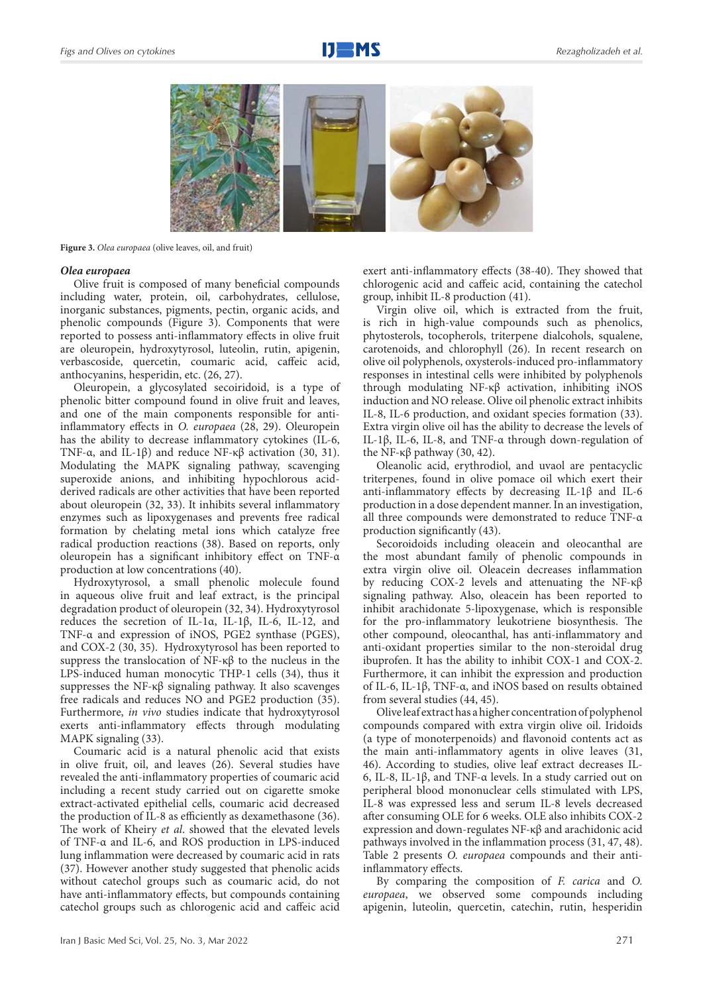

**Figure 3.** *Olea europaea* (olive leaves, oil, and fruit)

#### *Olea europaea*

Olive fruit is composed of many beneficial compounds including water, protein, oil, carbohydrates, cellulose, inorganic substances, pigments, pectin, organic acids, and phenolic compounds (Figure 3). Components that were reported to possess anti-inflammatory effects in olive fruit are oleuropein, hydroxytyrosol, luteolin, rutin, apigenin, verbascoside, quercetin, coumaric acid, caffeic acid, anthocyanins, hesperidin, etc. (26, 27).

Oleuropein, a glycosylated secoiridoid, is a type of phenolic bitter compound found in olive fruit and leaves, and one of the main components responsible for antiinflammatory effects in *O. europaea* (28, 29). Oleuropein has the ability to decrease inflammatory cytokines (IL-6, TNF-α, and IL-1β) and reduce NF-κβ activation (30, 31). Modulating the MAPK signaling pathway, scavenging superoxide anions, and inhibiting hypochlorous acidderived radicals are other activities that have been reported about oleuropein (32, 33). It inhibits several inflammatory enzymes such as lipoxygenases and prevents free radical formation by chelating metal ions which catalyze free radical production reactions (38). Based on reports, only oleuropein has a significant inhibitory effect on TNF-α production at low concentrations (40).

Hydroxytyrosol, a small phenolic molecule found in aqueous olive fruit and leaf extract, is the principal degradation product of oleuropein (32, 34). Hydroxytyrosol reduces the secretion of IL-1α, IL-1β, IL-6, IL-12, and TNF-α and expression of iNOS, PGE2 synthase (PGES), and COX-2 (30, 35). Hydroxytyrosol has been reported to suppress the translocation of NF-κβ to the nucleus in the LPS-induced human monocytic THP-1 cells (34), thus it suppresses the NF-κβ signaling pathway. It also scavenges free radicals and reduces NO and PGE2 production (35). Furthermore, *in vivo* studies indicate that hydroxytyrosol exerts anti-inflammatory effects through modulating MAPK signaling (33).

Coumaric acid is a natural phenolic acid that exists in olive fruit, oil, and leaves (26). Several studies have revealed the anti-inflammatory properties of coumaric acid including a recent study carried out on cigarette smoke extract-activated epithelial cells, coumaric acid decreased the production of IL-8 as efficiently as dexamethasone (36). The work of Kheiry *et al*. showed that the elevated levels of TNF-α and IL-6, and ROS production in LPS-induced lung inflammation were decreased by coumaric acid in rats (37). However another study suggested that phenolic acids without catechol groups such as coumaric acid, do not have anti-inflammatory effects, but compounds containing catechol groups such as chlorogenic acid and caffeic acid

exert anti-inflammatory effects (38-40). They showed that chlorogenic acid and caffeic acid, containing the catechol group, inhibit IL-8 production (41).

Virgin olive oil, which is extracted from the fruit, is rich in high-value compounds such as phenolics, phytosterols, tocopherols, triterpene dialcohols, squalene, carotenoids, and chlorophyll (26). In recent research on olive oil polyphenols, oxysterols-induced pro-inflammatory responses in intestinal cells were inhibited by polyphenols through modulating NF-κβ activation, inhibiting iNOS induction and NO release. Olive oil phenolic extract inhibits IL-8, IL-6 production, and oxidant species formation (33). Extra virgin olive oil has the ability to decrease the levels of IL-1β, IL-6, IL-8, and TNF-α through down-regulation of the NF-κβ pathway (30, 42).

Oleanolic acid, erythrodiol, and uvaol are pentacyclic triterpenes, found in olive pomace oil which exert their anti-inflammatory effects by decreasing IL-1β and IL-6 production in a dose dependent manner. In an investigation, all three compounds were demonstrated to reduce TNF-α production significantly (43).

Secoroidoids including oleacein and oleocanthal are the most abundant family of phenolic compounds in extra virgin olive oil. Oleacein decreases inflammation by reducing COX-2 levels and attenuating the NF-κβ signaling pathway. Also, oleacein has been reported to inhibit arachidonate 5-lipoxygenase, which is responsible for the pro-inflammatory leukotriene biosynthesis. The other compound, oleocanthal, has anti-inflammatory and anti-oxidant properties similar to the non-steroidal drug ibuprofen. It has the ability to inhibit COX-1 and COX-2. Furthermore, it can inhibit the expression and production of IL-6, IL-1β, TNF-α, and iNOS based on results obtained from several studies (44, 45).

Olive leaf extract has a higher concentration of polyphenol compounds compared with extra virgin olive oil. Iridoids (a type of monoterpenoids) and flavonoid contents act as the main anti-inflammatory agents in olive leaves (31, 46). According to studies, olive leaf extract decreases IL-6, IL-8, IL-1β, and TNF-α levels. In a study carried out on peripheral blood mononuclear cells stimulated with LPS, IL-8 was expressed less and serum IL-8 levels decreased after consuming OLE for 6 weeks. OLE also inhibits COX-2 expression and down-regulates NF-κβ and arachidonic acid pathways involved in the inflammation process (31, 47, 48). Table 2 presents *O. europaea* compounds and their antiinflammatory effects.

By comparing the composition of *F. carica* and *O. europaea*, we observed some compounds including apigenin, luteolin, quercetin, catechin, rutin, hesperidin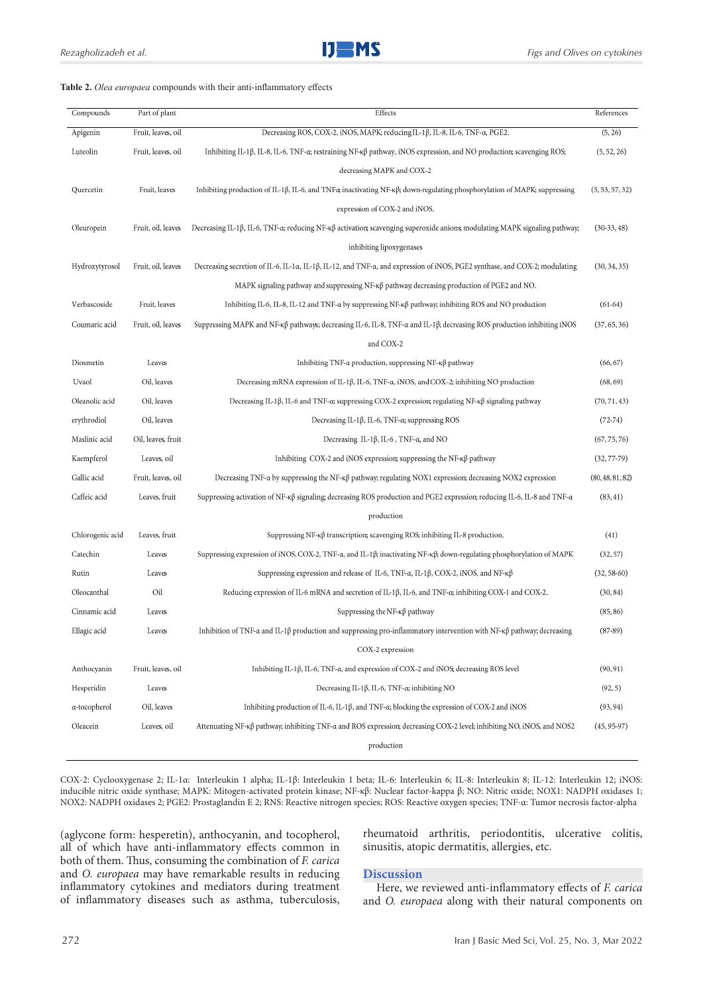#### **Table 2.** *Olea europaea* compounds with their anti-inflammatory effects

| Compounds        | Part of plant      | Effects                                                                                                                                                | References       |
|------------------|--------------------|--------------------------------------------------------------------------------------------------------------------------------------------------------|------------------|
| Apigenin         | Fruit, leaves, oil | Decreasing ROS, COX-2, iNOS, MAPK; reducing IL-1β, IL-8, IL-6, TNF-α, PGE2.                                                                            | (5, 26)          |
| Luteolin         | Fruit, leaves, oil | Inhibiting IL-1β, IL-8, IL-6, TNF-α; restraining NF-κβ pathway, iNOS expression, and NO production; scavenging ROS;                                    | (5, 52, 26)      |
|                  |                    | decreasing MAPK and COX-2                                                                                                                              |                  |
| Quercetin        | Fruit, leaves      | Inhibiting production of IL-1 $\beta$ , IL-6, and TNF $\alpha$ ; inactivating NF- $\kappa\beta$ ; down-regulating phosphorylation of MAPK; suppressing | (5, 53, 57, 32)  |
|                  |                    | expression of COX-2 and iNOS.                                                                                                                          |                  |
| Oleuropein       | Fruit, oil, leaves | Decreasing IL-1 $\beta$ , IL-6, TNF-a; reducing NF- $\kappa\beta$ activation; scavenging superoxide anions; modulating MAPK signaling pathway;         | $(30-33, 48)$    |
|                  |                    | inhibiting lipoxygenases                                                                                                                               |                  |
| Hydroxytyrosol   | Fruit, oil, leaves | Decreasing secretion of IL-6, IL-1a, IL-1β, IL-12, and TNF-a, and expression of iNOS, PGE2 synthase, and COX-2; modulating                             | (30, 34, 35)     |
|                  |                    | MAPK signaling pathway and suppressing $NF-\kappa\beta$ pathway; decreasing production of PGE2 and NO.                                                 |                  |
| Verbascoside     | Fruit, leaves      | Inhibiting IL-6, IL-8, IL-12 and TNF- $\alpha$ by suppressing NF- $\kappa\beta$ pathway, inhibiting ROS and NO production                              | $(61-64)$        |
| Coumaric acid    | Fruit, oil, leaves | Suppressing MAPK and NF-K $\beta$ pathways; decreasing IL-6, IL-8, TNF-a and IL-1 $\beta$ ; decreasing ROS production inhibiting iNOS                  | (37, 65, 36)     |
|                  |                    | and COX-2                                                                                                                                              |                  |
| Diosmetin        | Leaves             | Inhibiting TNF- $\alpha$ production, suppressing NF- $\kappa\beta$ pathway                                                                             | (66, 67)         |
| Uvaol            | Oil, leaves        | Decreasing mRNA expression of IL-1 $\beta$ , IL-6, TNF- $\alpha$ , iNOS, and COX-2; inhibiting NO production                                           | (68, 69)         |
| Oleanolic acid   | Oil, leaves        | Decreasing IL-1 $\beta$ , IL-6 and TNF- $\alpha$ ; suppressing COX-2 expression; regulating NF- $\kappa\beta$ signaling pathway                        | (70, 71, 43)     |
| erythrodiol      | Oil, leaves        | Decreasing IL-1 $\beta$ , IL-6, TNF- $\alpha$ ; suppressing ROS                                                                                        | $(72-74)$        |
| Maslinic acid    | Oil, leaves, fruit | Decreasing IL-1 $\beta$ , IL-6, TNF- $\alpha$ , and NO                                                                                                 | (67, 75, 76)     |
| Kaempferol       | Leaves, oil        | Inhibiting $COX-2$ and iNOS expression; suppressing the NF- $\kappa\beta$ pathway                                                                      | $(32, 77 - 79)$  |
| Gallic acid      | Fruit, leaves, oil | Decreasing TNF- $\alpha$ by suppressing the NF- $\kappa\beta$ pathway; regulating NOX1 expression; decreasing NOX2 expression                          | (80, 48, 81, 82) |
| Caffeic acid     | Leaves, fruit      | Suppressing activation of NF-κβ signaling; decreasing ROS production and PGE2 expression; reducing IL-6, IL-8 and TNF-α                                | (83, 41)         |
|                  |                    | production                                                                                                                                             |                  |
| Chlorogenic acid | Leaves, fruit      | Suppressing NF- $\kappa\beta$ transcription; scavenging ROS; inhibiting IL-8 production.                                                               | (41)             |
| Catechin         | Leaves             | Suppressing expression of iNOS, COX-2, TNF- $\alpha$ , and IL-1 $\beta$ ; inactivating NF- $\kappa\beta$ ; down-regulating phosphorylation of MAPK     | (32, 57)         |
| Rutin            | Leaves             | Suppressing expression and release of IL-6, TNF- $\alpha$ , IL-1 $\beta$ , COX-2, iNOS, and NF- $\kappa\beta$                                          | $(32, 58-60)$    |
| Oleocanthal      | Oil                | Reducing expression of IL-6 mRNA and secretion of IL-1 $\beta$ , IL-6, and TNF- $\alpha$ ; inhibiting COX-1 and COX-2.                                 | (30, 84)         |
| Cinnamic acid    | Leaves             | Suppressing the NF- $\kappa\beta$ pathway                                                                                                              | (85, 86)         |
| Ellagic acid     | Leaves             | Inhibition of TNF-a and IL-1 $\beta$ production and suppressing pro-inflammatory intervention with NF- $\kappa\beta$ pathway; decreasing               | $(87-89)$        |
|                  |                    | COX-2 expression                                                                                                                                       |                  |
| Anthocyanin      | Fruit, leaves, oil | Inhibiting IL-1 $\beta$ , IL-6, TNF-a, and expression of COX-2 and iNOS; decreasing ROS level                                                          | (90, 91)         |
| Hesperidin       | Leaves             | Decreasing IL-1 $\beta$ , IL-6, TNF- $\alpha$ ; inhibiting NO                                                                                          | (92, 5)          |
| a-tocopherol     | Oil, leaves        | Inhibiting production of IL-6, IL-1 $\beta$ , and TNF- $\alpha$ ; blocking the expression of COX-2 and iNOS                                            | (93, 94)         |
| Oleacein         | Leaves, oil        | Attenuating $NF-\kappa\beta$ pathway, inhibiting TNF- $\alpha$ and ROS expression; decreasing COX-2 level; inhibiting NO, iNOS, and NOS2               | $(45, 95-97)$    |
|                  |                    | production                                                                                                                                             |                  |

COX-2: Cyclooxygenase 2; IL-1α: Interleukin 1 alpha; IL-1β: Interleukin 1 beta; IL-6: Interleukin 6; IL-8: Interleukin 8; IL-12: Interleukin 12; iNOS: inducible nitric oxide synthase; MAPK: Mitogen-activated protein kinase; NF-κβ: Nuclear factor-kappa β; NO: Nitric oxide; NOX1: NADPH oxidases 1; NOX2: NADPH oxidases 2; PGE2: Prostaglandin E 2; RNS: Reactive nitrogen species; ROS: Reactive oxygen species; TNF-α: Tumor necrosis factor-alpha

(aglycone form: hesperetin), anthocyanin, and tocopherol, all of which have anti-inflammatory effects common in both of them. Thus, consuming the combination of *F. carica* and *O. europaea* may have remarkable results in reducing inflammatory cytokines and mediators during treatment of inflammatory diseases such as asthma, tuberculosis, rheumatoid arthritis, periodontitis, ulcerative colitis, sinusitis, atopic dermatitis, allergies, etc.

#### **Discussion**

Here, we reviewed anti-inflammatory effects of *F. carica* and *O. europaea* along with their natural components on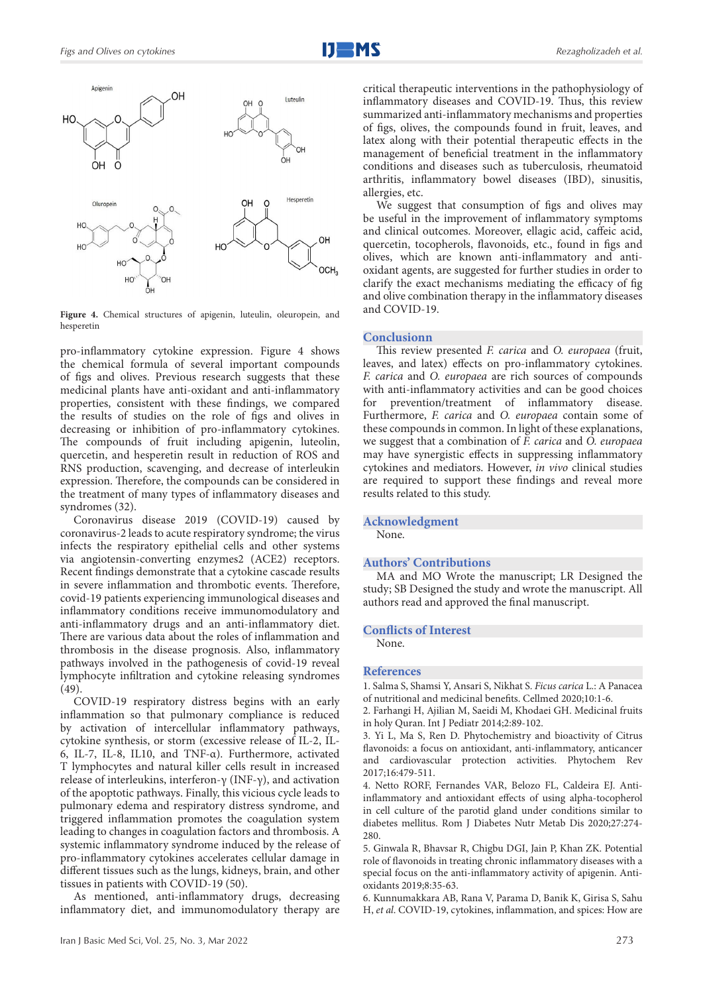

**Figure 4.** Chemical structures of apigenin, luteulin, oleuropein, and hesperetin

pro-inflammatory cytokine expression. Figure 4 shows the chemical formula of several important compounds of figs and olives. Previous research suggests that these medicinal plants have anti-oxidant and anti-inflammatory properties, consistent with these findings, we compared the results of studies on the role of figs and olives in decreasing or inhibition of pro-inflammatory cytokines. The compounds of fruit including apigenin, luteolin, quercetin, and hesperetin result in reduction of ROS and RNS production, scavenging, and decrease of interleukin expression. Therefore, the compounds can be considered in the treatment of many types of inflammatory diseases and syndromes (32).

Coronavirus disease 2019 (COVID-19) caused by coronavirus-2 leads to acute respiratory syndrome; the virus infects the respiratory epithelial cells and other systems via angiotensin-converting enzymes2 (ACE2) receptors. Recent findings demonstrate that a cytokine cascade results in severe inflammation and thrombotic events. Therefore, covid-19 patients experiencing immunological diseases and inflammatory conditions receive immunomodulatory and anti-inflammatory drugs and an anti-inflammatory diet. There are various data about the roles of inflammation and thrombosis in the disease prognosis. Also, inflammatory pathways involved in the pathogenesis of covid-19 reveal lymphocyte infiltration and cytokine releasing syndromes  $(49)$ 

COVID-19 respiratory distress begins with an early inflammation so that pulmonary compliance is reduced by activation of intercellular inflammatory pathways, cytokine synthesis, or storm (excessive release of IL-2, IL-6, IL-7, IL-8, IL10, and TNF-α). Furthermore, activated T lymphocytes and natural killer cells result in increased release of interleukins, interferon-γ (INF-γ), and activation of the apoptotic pathways. Finally, this vicious cycle leads to pulmonary edema and respiratory distress syndrome, and triggered inflammation promotes the coagulation system leading to changes in coagulation factors and thrombosis. A systemic inflammatory syndrome induced by the release of pro-inflammatory cytokines accelerates cellular damage in different tissues such as the lungs, kidneys, brain, and other tissues in patients with COVID-19 (50).

As mentioned, anti-inflammatory drugs, decreasing inflammatory diet, and immunomodulatory therapy are

critical therapeutic interventions in the pathophysiology of inflammatory diseases and COVID-19. Thus, this review summarized anti-inflammatory mechanisms and properties of figs, olives, the compounds found in fruit, leaves, and latex along with their potential therapeutic effects in the management of beneficial treatment in the inflammatory conditions and diseases such as tuberculosis, rheumatoid arthritis, inflammatory bowel diseases (IBD), sinusitis, allergies, etc.

We suggest that consumption of figs and olives may be useful in the improvement of inflammatory symptoms and clinical outcomes. Moreover, ellagic acid, caffeic acid, quercetin, tocopherols, flavonoids, etc., found in figs and olives, which are known anti-inflammatory and antioxidant agents, are suggested for further studies in order to clarify the exact mechanisms mediating the efficacy of fig and olive combination therapy in the inflammatory diseases and COVID-19.

#### **Conclusionn**

This review presented *F. carica* and *O. europaea* (fruit, leaves, and latex) effects on pro-inflammatory cytokines. *F. carica* and *O. europaea* are rich sources of compounds with anti-inflammatory activities and can be good choices for prevention/treatment of inflammatory disease. Furthermore, *F. carica* and *O. europaea* contain some of these compounds in common. In light of these explanations, we suggest that a combination of *F. carica* and *O. europaea* may have synergistic effects in suppressing inflammatory cytokines and mediators. However, *in vivo* clinical studies are required to support these findings and reveal more results related to this study.

#### **Acknowledgment**

None.

#### **Authors' Contributions**

MA and MO Wrote the manuscript; LR Designed the study; SB Designed the study and wrote the manuscript. All authors read and approved the final manuscript.

#### **Conflicts of Interest**

None.

#### **References**

1. Salma S, Shamsi Y, Ansari S, Nikhat S. *Ficus carica* L.: A Panacea of nutritional and medicinal benefits. Cellmed 2020;10:1-6.

2. Farhangi H, Ajilian M, Saeidi M, Khodaei GH. Medicinal fruits in holy Quran. Int J Pediatr 2014;2:89-102.

3. Yi L, Ma S, Ren D. Phytochemistry and bioactivity of Citrus flavonoids: a focus on antioxidant, anti-inflammatory, anticancer and cardiovascular protection activities. Phytochem Rev 2017;16:479-511.

4. Netto RORF, Fernandes VAR, Belozo FL, Caldeira EJ. Antiinflammatory and antioxidant effects of using alpha-tocopherol in cell culture of the parotid gland under conditions similar to diabetes mellitus. Rom J Diabetes Nutr Metab Dis 2020;27:274- 280.

5. Ginwala R, Bhavsar R, Chigbu DGI, Jain P, Khan ZK. Potential role of flavonoids in treating chronic inflammatory diseases with a special focus on the anti-inflammatory activity of apigenin. Antioxidants 2019;8:35-63.

6. Kunnumakkara AB, Rana V, Parama D, Banik K, Girisa S, Sahu H, *et al*. COVID-19, cytokines, inflammation, and spices: How are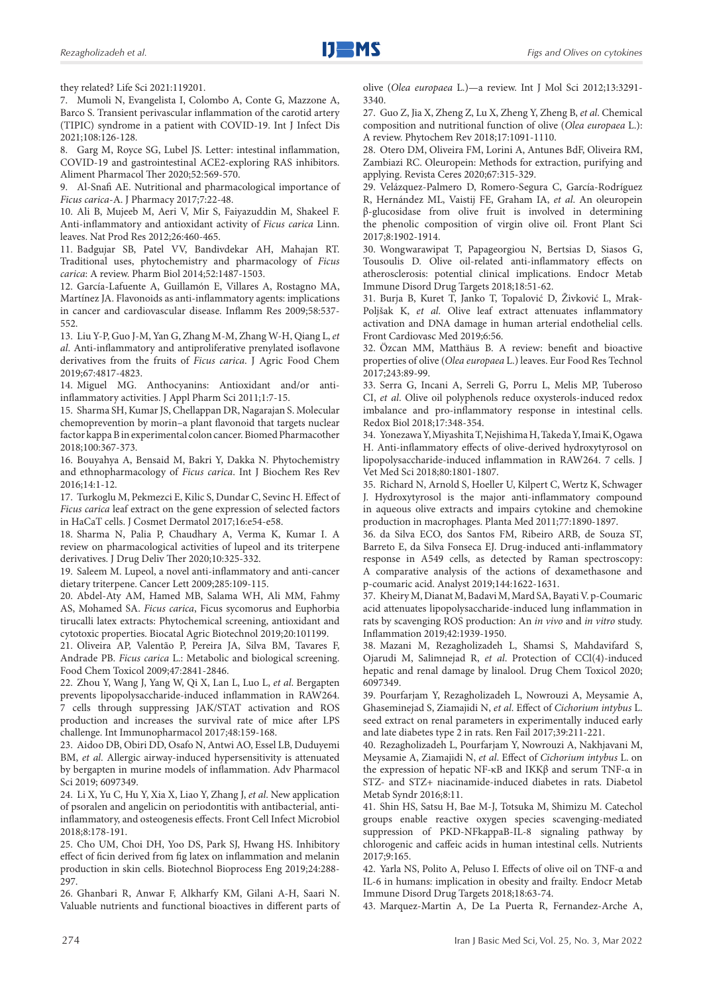they related? Life Sci 2021:119201.

7. Mumoli N, Evangelista I, Colombo A, Conte G, Mazzone A, Barco S. Transient perivascular inflammation of the carotid artery (TIPIC) syndrome in a patient with COVID-19. Int J Infect Dis 2021;108:126-128.

8. Garg M, Royce SG, Lubel JS. Letter: intestinal inflammation, COVID-19 and gastrointestinal ACE2-exploring RAS inhibitors. Aliment Pharmacol Ther 2020;52:569-570.

9. Al-Snafi AE. Nutritional and pharmacological importance of *Ficus carica*-A. J Pharmacy 2017;7:22-48.

10. Ali B, Mujeeb M, Aeri V, Mir S, Faiyazuddin M, Shakeel F. Anti-inflammatory and antioxidant activity of *Ficus carica* Linn. leaves. Nat Prod Res 2012;26:460-465.

11. Badgujar SB, Patel VV, Bandivdekar AH, Mahajan RT. Traditional uses, phytochemistry and pharmacology of *Ficus carica*: A review. Pharm Biol 2014;52:1487-1503.

12. García-Lafuente A, Guillamón E, Villares A, Rostagno MA, Martínez JA. Flavonoids as anti-inflammatory agents: implications in cancer and cardiovascular disease. Inflamm Res 2009;58:537- 552.

13. Liu Y-P, Guo J-M, Yan G, Zhang M-M, Zhang W-H, Qiang L, *et al*. Anti-inflammatory and antiproliferative prenylated isoflavone derivatives from the fruits of *Ficus carica*. J Agric Food Chem 2019;67:4817-4823.

14. Miguel MG. Anthocyanins: Antioxidant and/or antiinflammatory activities. J Appl Pharm Sci 2011;1:7-15.

15. Sharma SH, Kumar JS, Chellappan DR, Nagarajan S. Molecular chemoprevention by morin–a plant flavonoid that targets nuclear factor kappa B in experimental colon cancer. Biomed Pharmacother 2018;100:367-373.

16. Bouyahya A, Bensaid M, Bakri Y, Dakka N. Phytochemistry and ethnopharmacology of *Ficus carica*. Int J Biochem Res Rev 2016;14:1-12.

17. Turkoglu M, Pekmezci E, Kilic S, Dundar C, Sevinc H. Effect of *Ficus carica* leaf extract on the gene expression of selected factors in HaCaT cells. J Cosmet Dermatol 2017;16:e54-e58.

18. Sharma N, Palia P, Chaudhary A, Verma K, Kumar I. A review on pharmacological activities of lupeol and its triterpene derivatives. J Drug Deliv Ther 2020;10:325-332.

19. Saleem M. Lupeol, a novel anti-inflammatory and anti-cancer dietary triterpene. Cancer Lett 2009;285:109-115.

20. Abdel-Aty AM, Hamed MB, Salama WH, Ali MM, Fahmy AS, Mohamed SA. *Ficus carica*, Ficus sycomorus and Euphorbia tirucalli latex extracts: Phytochemical screening, antioxidant and cytotoxic properties. Biocatal Agric Biotechnol 2019;20:101199.

21. Oliveira AP, Valentão P, Pereira JA, Silva BM, Tavares F, Andrade PB. *Ficus carica* L.: Metabolic and biological screening. Food Chem Toxicol 2009;47:2841-2846.

22. Zhou Y, Wang J, Yang W, Qi X, Lan L, Luo L, *et al*. Bergapten prevents lipopolysaccharide-induced inflammation in RAW264. 7 cells through suppressing JAK/STAT activation and ROS production and increases the survival rate of mice after LPS challenge. Int Immunopharmacol 2017;48:159-168.

23. Aidoo DB, Obiri DD, Osafo N, Antwi AO, Essel LB, Duduyemi BM, *et al*. Allergic airway-induced hypersensitivity is attenuated by bergapten in murine models of inflammation. Adv Pharmacol Sci 2019; 6097349.

24. Li X, Yu C, Hu Y, Xia X, Liao Y, Zhang J, *et al*. New application of psoralen and angelicin on periodontitis with antibacterial, antiinflammatory, and osteogenesis effects. Front Cell Infect Microbiol 2018;8:178-191.

25. Cho UM, Choi DH, Yoo DS, Park SJ, Hwang HS. Inhibitory effect of ficin derived from fig latex on inflammation and melanin production in skin cells. Biotechnol Bioprocess Eng 2019;24:288- 297.

26. Ghanbari R, Anwar F, Alkharfy KM, Gilani A-H, Saari N. Valuable nutrients and functional bioactives in different parts of olive (*Olea europaea* L.)—a review. Int J Mol Sci 2012;13:3291- 3340.

27. Guo Z, Jia X, Zheng Z, Lu X, Zheng Y, Zheng B, *et al*. Chemical composition and nutritional function of olive (*Olea europaea* L.): A review. Phytochem Rev 2018;17:1091-1110.

28. Otero DM, Oliveira FM, Lorini A, Antunes BdF, Oliveira RM, Zambiazi RC. Oleuropein: Methods for extraction, purifying and applying. Revista Ceres 2020;67:315-329.

29. Velázquez-Palmero D, Romero-Segura C, García-Rodríguez R, Hernández ML, Vaistij FE, Graham IA, *et al*. An oleuropein β-glucosidase from olive fruit is involved in determining the phenolic composition of virgin olive oil. Front Plant Sci 2017;8:1902-1914.

30. Wongwarawipat T, Papageorgiou N, Bertsias D, Siasos G, Tousoulis D. Olive oil-related anti-inflammatory effects on atherosclerosis: potential clinical implications. Endocr Metab Immune Disord Drug Targets 2018;18:51-62.

31. Burja B, Kuret T, Janko T, Topalović D, Živković L, Mrak-Poljšak K, *et al*. Olive leaf extract attenuates inflammatory activation and DNA damage in human arterial endothelial cells. Front Cardiovasc Med 2019;6:56.

32. Özcan MM, Matthäus B. A review: benefit and bioactive properties of olive (*Olea europaea* L.) leaves. Eur Food Res Technol 2017;243:89-99.

33. Serra G, Incani A, Serreli G, Porru L, Melis MP, Tuberoso CI, *et al*. Olive oil polyphenols reduce oxysterols-induced redox imbalance and pro-inflammatory response in intestinal cells. Redox Biol 2018;17:348-354.

34. Yonezawa Y, Miyashita T, Nejishima H, Takeda Y, Imai K, Ogawa H. Anti-inflammatory effects of olive-derived hydroxytyrosol on lipopolysaccharide-induced inflammation in RAW264. 7 cells. J Vet Med Sci 2018;80:1801-1807.

35. Richard N, Arnold S, Hoeller U, Kilpert C, Wertz K, Schwager J. Hydroxytyrosol is the major anti-inflammatory compound in aqueous olive extracts and impairs cytokine and chemokine production in macrophages. Planta Med 2011;77:1890-1897.

36. da Silva ECO, dos Santos FM, Ribeiro ARB, de Souza ST, Barreto E, da Silva Fonseca EJ. Drug-induced anti-inflammatory response in A549 cells, as detected by Raman spectroscopy: A comparative analysis of the actions of dexamethasone and p-coumaric acid. Analyst 2019;144:1622-1631.

37. Kheiry M, Dianat M, Badavi M, Mard SA, Bayati V. p-Coumaric acid attenuates lipopolysaccharide-induced lung inflammation in rats by scavenging ROS production: An *in vivo* and *in vitro* study. Inflammation 2019;42:1939-1950.

38. Mazani M, Rezagholizadeh L, Shamsi S, Mahdavifard S, Ojarudi M, Salimnejad R, *et al*. Protection of CCl(4)-induced hepatic and renal damage by linalool. Drug Chem Toxicol 2020; 6097349.

39. Pourfarjam Y, Rezagholizadeh L, Nowrouzi A, Meysamie A, Ghaseminejad S, Ziamajidi N, *et al*. Effect of *Cichorium intybus* L. seed extract on renal parameters in experimentally induced early and late diabetes type 2 in rats. Ren Fail 2017;39:211-221.

40. Rezagholizadeh L, Pourfarjam Y, Nowrouzi A, Nakhjavani M, Meysamie A, Ziamajidi N, *et al*. Effect of *Cichorium intybus* L. on the expression of hepatic NF-κB and IKKβ and serum TNF-α in STZ- and STZ+ niacinamide-induced diabetes in rats. Diabetol Metab Syndr 2016;8:11.

41. Shin HS, Satsu H, Bae M-J, Totsuka M, Shimizu M. Catechol groups enable reactive oxygen species scavenging-mediated suppression of PKD-NFkappaB-IL-8 signaling pathway by chlorogenic and caffeic acids in human intestinal cells. Nutrients 2017;9:165.

42. Yarla NS, Polito A, Peluso I. Effects of olive oil on TNF-α and IL-6 in humans: implication in obesity and frailty. Endocr Metab Immune Disord Drug Targets 2018;18:63-74.

43. Marquez-Martin A, De La Puerta R, Fernandez-Arche A,